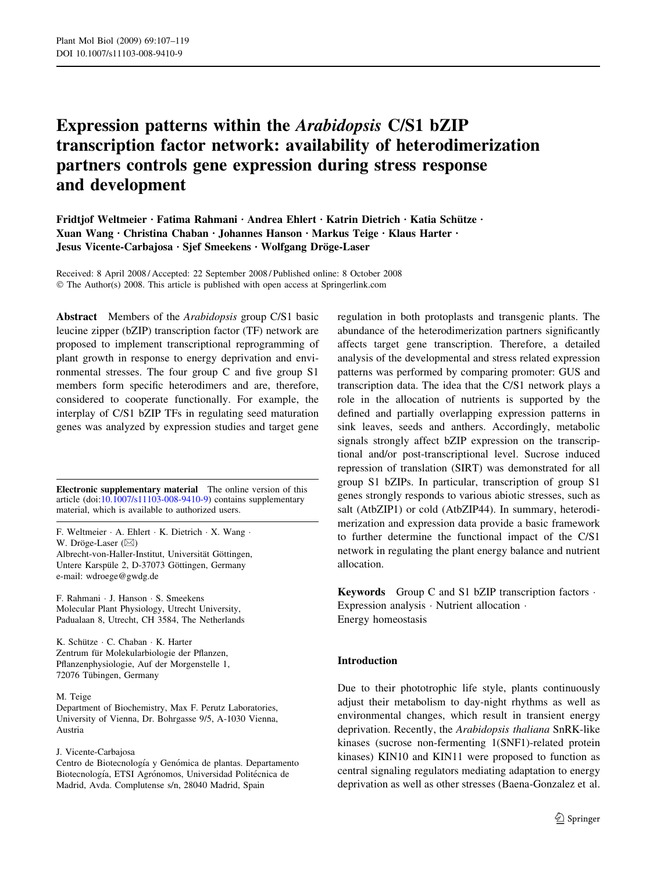# Expression patterns within the Arabidopsis C/S1 bZIP transcription factor network: availability of heterodimerization partners controls gene expression during stress response and development

Fridtjof Weltmeier · Fatima Rahmani · Andrea Ehlert · Katrin Dietrich · Katia Schütze · Xuan Wang • Christina Chaban • Johannes Hanson • Markus Teige • Klaus Harter • Jesus Vicente-Carbajosa · Sjef Smeekens · Wolfgang Dröge-Laser

Received: 8 April 2008 / Accepted: 22 September 2008 / Published online: 8 October 2008  $\odot$  The Author(s) 2008. This article is published with open access at Springerlink.com

Abstract Members of the Arabidopsis group C/S1 basic leucine zipper (bZIP) transcription factor (TF) network are proposed to implement transcriptional reprogramming of plant growth in response to energy deprivation and environmental stresses. The four group C and five group S1 members form specific heterodimers and are, therefore, considered to cooperate functionally. For example, the interplay of C/S1 bZIP TFs in regulating seed maturation genes was analyzed by expression studies and target gene

Electronic supplementary material The online version of this article (doi:[10.1007/s11103-008-9410-9\)](http://dx.doi.org/10.1007/s11103-008-9410-9) contains supplementary material, which is available to authorized users.

F. Weltmeier · A. Ehlert · K. Dietrich · X. Wang · W. Dröge-Laser  $(\boxtimes)$ Albrecht-von-Haller-Institut, Universität Göttingen, Untere Karspüle 2, D-37073 Göttingen, Germany e-mail: wdroege@gwdg.de

F. Rahmani · J. Hanson · S. Smeekens Molecular Plant Physiology, Utrecht University, Padualaan 8, Utrecht, CH 3584, The Netherlands

K. Schütze · C. Chaban · K. Harter Zentrum für Molekularbiologie der Pflanzen, Pflanzenphysiologie, Auf der Morgenstelle 1, 72076 Tübingen, Germany

#### M. Teige

Department of Biochemistry, Max F. Perutz Laboratories, University of Vienna, Dr. Bohrgasse 9/5, A-1030 Vienna, Austria

#### J. Vicente-Carbajosa

Centro de Biotecnología y Genómica de plantas. Departamento Biotecnología, ETSI Agrónomos, Universidad Politécnica de Madrid, Avda. Complutense s/n, 28040 Madrid, Spain

regulation in both protoplasts and transgenic plants. The abundance of the heterodimerization partners significantly affects target gene transcription. Therefore, a detailed analysis of the developmental and stress related expression patterns was performed by comparing promoter: GUS and transcription data. The idea that the C/S1 network plays a role in the allocation of nutrients is supported by the defined and partially overlapping expression patterns in sink leaves, seeds and anthers. Accordingly, metabolic signals strongly affect bZIP expression on the transcriptional and/or post-transcriptional level. Sucrose induced repression of translation (SIRT) was demonstrated for all group S1 bZIPs. In particular, transcription of group S1 genes strongly responds to various abiotic stresses, such as salt (AtbZIP1) or cold (AtbZIP44). In summary, heterodimerization and expression data provide a basic framework to further determine the functional impact of the C/S1 network in regulating the plant energy balance and nutrient allocation.

**Keywords** Group C and S1 bZIP transcription factors  $\cdot$ Expression analysis  $\cdot$  Nutrient allocation  $\cdot$ Energy homeostasis

#### Introduction

Due to their phototrophic life style, plants continuously adjust their metabolism to day-night rhythms as well as environmental changes, which result in transient energy deprivation. Recently, the Arabidopsis thaliana SnRK-like kinases (sucrose non-fermenting 1(SNF1)-related protein kinases) KIN10 and KIN11 were proposed to function as central signaling regulators mediating adaptation to energy deprivation as well as other stresses (Baena-Gonzalez et al.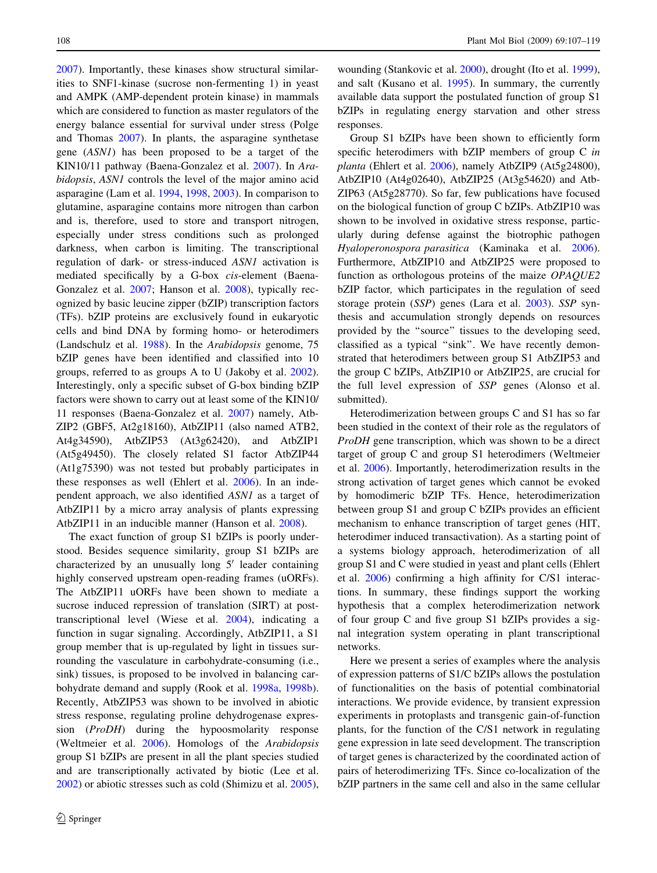[2007\)](#page-11-0). Importantly, these kinases show structural similarities to SNF1-kinase (sucrose non-fermenting 1) in yeast and AMPK (AMP-dependent protein kinase) in mammals which are considered to function as master regulators of the energy balance essential for survival under stress (Polge and Thomas [2007](#page-11-0)). In plants, the asparagine synthetase gene (ASN1) has been proposed to be a target of the KIN10/11 pathway (Baena-Gonzalez et al. [2007\)](#page-11-0). In Arabidopsis, ASN1 controls the level of the major amino acid asparagine (Lam et al. [1994](#page-11-0), [1998](#page-11-0), [2003](#page-11-0)). In comparison to glutamine, asparagine contains more nitrogen than carbon and is, therefore, used to store and transport nitrogen, especially under stress conditions such as prolonged darkness, when carbon is limiting. The transcriptional regulation of dark- or stress-induced ASN1 activation is mediated specifically by a G-box cis-element (Baena-Gonzalez et al. [2007;](#page-11-0) Hanson et al. [2008](#page-11-0)), typically recognized by basic leucine zipper (bZIP) transcription factors (TFs). bZIP proteins are exclusively found in eukaryotic cells and bind DNA by forming homo- or heterodimers (Landschulz et al. [1988](#page-11-0)). In the Arabidopsis genome, 75 bZIP genes have been identified and classified into 10 groups, referred to as groups A to U (Jakoby et al. [2002](#page-11-0)). Interestingly, only a specific subset of G-box binding bZIP factors were shown to carry out at least some of the KIN10/ 11 responses (Baena-Gonzalez et al. [2007\)](#page-11-0) namely, Atb-ZIP2 (GBF5, At2g18160), AtbZIP11 (also named ATB2, At4g34590), AtbZIP53 (At3g62420), and AtbZIP1 (At5g49450). The closely related S1 factor AtbZIP44 (At1g75390) was not tested but probably participates in these responses as well (Ehlert et al. [2006](#page-11-0)). In an independent approach, we also identified ASN1 as a target of AtbZIP11 by a micro array analysis of plants expressing AtbZIP11 in an inducible manner (Hanson et al. [2008\)](#page-11-0).

The exact function of group S1 bZIPs is poorly understood. Besides sequence similarity, group S1 bZIPs are characterized by an unusually long  $5'$  leader containing highly conserved upstream open-reading frames (uORFs). The AtbZIP11 uORFs have been shown to mediate a sucrose induced repression of translation (SIRT) at posttranscriptional level (Wiese et al. [2004\)](#page-12-0), indicating a function in sugar signaling. Accordingly, AtbZIP11, a S1 group member that is up-regulated by light in tissues surrounding the vasculature in carbohydrate-consuming (i.e., sink) tissues, is proposed to be involved in balancing carbohydrate demand and supply (Rook et al. [1998a,](#page-11-0) [1998b](#page-11-0)). Recently, AtbZIP53 was shown to be involved in abiotic stress response, regulating proline dehydrogenase expression (ProDH) during the hypoosmolarity response (Weltmeier et al. [2006\)](#page-12-0). Homologs of the Arabidopsis group S1 bZIPs are present in all the plant species studied and are transcriptionally activated by biotic (Lee et al. [2002\)](#page-11-0) or abiotic stresses such as cold (Shimizu et al. [2005](#page-12-0)),

wounding (Stankovic et al. [2000](#page-12-0)), drought (Ito et al. [1999](#page-11-0)), and salt (Kusano et al. [1995](#page-11-0)). In summary, the currently available data support the postulated function of group S1 bZIPs in regulating energy starvation and other stress responses.

Group S1 bZIPs have been shown to efficiently form specific heterodimers with bZIP members of group C in planta (Ehlert et al. [2006\)](#page-11-0), namely AtbZIP9 (At5g24800), AtbZIP10 (At4g02640), AtbZIP25 (At3g54620) and Atb-ZIP63 (At5g28770). So far, few publications have focused on the biological function of group C bZIPs. AtbZIP10 was shown to be involved in oxidative stress response, particularly during defense against the biotrophic pathogen Hyaloperonospora parasitica (Kaminaka et al. [2006](#page-11-0)). Furthermore, AtbZIP10 and AtbZIP25 were proposed to function as orthologous proteins of the maize OPAQUE2 bZIP factor, which participates in the regulation of seed storage protein (SSP) genes (Lara et al. [2003\)](#page-11-0). SSP synthesis and accumulation strongly depends on resources provided by the ''source'' tissues to the developing seed, classified as a typical ''sink''. We have recently demonstrated that heterodimers between group S1 AtbZIP53 and the group C bZIPs, AtbZIP10 or AtbZIP25, are crucial for the full level expression of SSP genes (Alonso et al. submitted).

Heterodimerization between groups C and S1 has so far been studied in the context of their role as the regulators of ProDH gene transcription, which was shown to be a direct target of group C and group S1 heterodimers (Weltmeier et al. [2006\)](#page-12-0). Importantly, heterodimerization results in the strong activation of target genes which cannot be evoked by homodimeric bZIP TFs. Hence, heterodimerization between group S1 and group C bZIPs provides an efficient mechanism to enhance transcription of target genes (HIT, heterodimer induced transactivation). As a starting point of a systems biology approach, heterodimerization of all group S1 and C were studied in yeast and plant cells (Ehlert et al. [2006](#page-11-0)) confirming a high affinity for C/S1 interactions. In summary, these findings support the working hypothesis that a complex heterodimerization network of four group C and five group S1 bZIPs provides a signal integration system operating in plant transcriptional networks.

Here we present a series of examples where the analysis of expression patterns of S1/C bZIPs allows the postulation of functionalities on the basis of potential combinatorial interactions. We provide evidence, by transient expression experiments in protoplasts and transgenic gain-of-function plants, for the function of the C/S1 network in regulating gene expression in late seed development. The transcription of target genes is characterized by the coordinated action of pairs of heterodimerizing TFs. Since co-localization of the bZIP partners in the same cell and also in the same cellular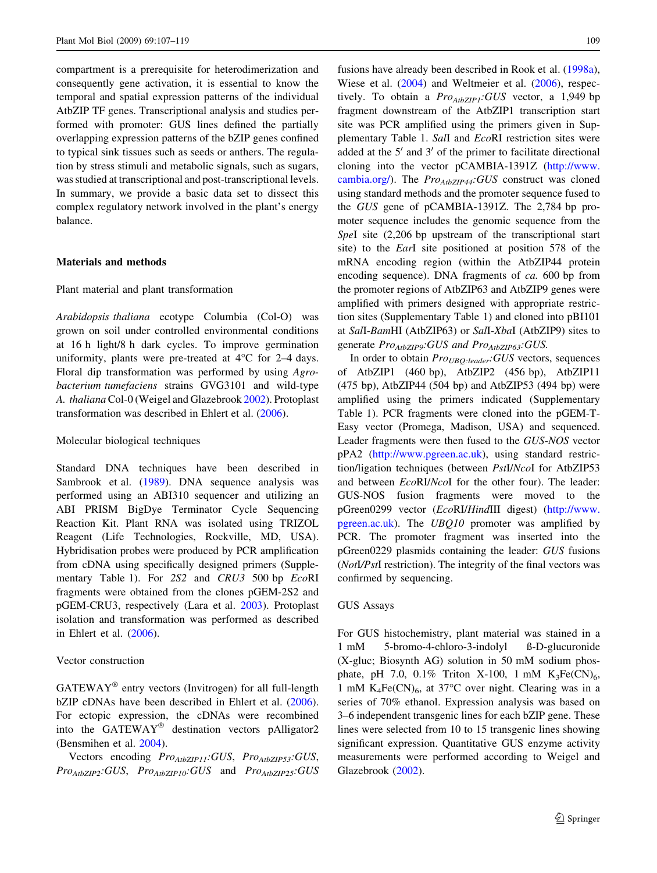compartment is a prerequisite for heterodimerization and consequently gene activation, it is essential to know the temporal and spatial expression patterns of the individual AtbZIP TF genes. Transcriptional analysis and studies performed with promoter: GUS lines defined the partially overlapping expression patterns of the bZIP genes confined to typical sink tissues such as seeds or anthers. The regulation by stress stimuli and metabolic signals, such as sugars, was studied at transcriptional and post-transcriptional levels. In summary, we provide a basic data set to dissect this complex regulatory network involved in the plant's energy balance.

#### Materials and methods

#### Plant material and plant transformation

Arabidopsis thaliana ecotype Columbia (Col-O) was grown on soil under controlled environmental conditions at 16 h light/8 h dark cycles. To improve germination uniformity, plants were pre-treated at  $4^{\circ}$ C for 2–4 days. Floral dip transformation was performed by using Agrobacterium tumefaciens strains GVG3101 and wild-type A. thaliana Col-0 (Weigel and Glazebrook [2002](#page-12-0)). Protoplast transformation was described in Ehlert et al. ([2006\)](#page-11-0).

#### Molecular biological techniques

Standard DNA techniques have been described in Sambrook et al. ([1989\)](#page-11-0). DNA sequence analysis was performed using an ABI310 sequencer and utilizing an ABI PRISM BigDye Terminator Cycle Sequencing Reaction Kit. Plant RNA was isolated using TRIZOL Reagent (Life Technologies, Rockville, MD, USA). Hybridisation probes were produced by PCR amplification from cDNA using specifically designed primers (Supplementary Table 1). For 2S2 and CRU3 500 bp EcoRI fragments were obtained from the clones pGEM-2S2 and pGEM-CRU3, respectively (Lara et al. [2003](#page-11-0)). Protoplast isolation and transformation was performed as described in Ehlert et al. ([2006\)](#page-11-0).

#### Vector construction

 $GATEWAY^*$  entry vectors (Invitrogen) for all full-length bZIP cDNAs have been described in Ehlert et al. [\(2006](#page-11-0)). For ectopic expression, the cDNAs were recombined into the  $GATEWAY^@$  destination vectors pAlligator2 (Bensmihen et al. [2004](#page-11-0)).

Vectors encoding  $Pro_{AtbZIP11}:GUS, Pro_{AtbZIP53}:GUS,$  $Pro_{AtbZIP2}:GUS, Pro_{AtbZIP10}:GUS$  and  $Pro_{AtbZIP25}:GUS$  fusions have already been described in Rook et al. [\(1998a](#page-11-0)), Wiese et al. ([2004\)](#page-12-0) and Weltmeier et al. [\(2006](#page-12-0)), respectively. To obtain a  $Pro_{AtbZIP}$ : GUS vector, a 1,949 bp fragment downstream of the AtbZIP1 transcription start site was PCR amplified using the primers given in Supplementary Table 1. SalI and EcoRI restriction sites were added at the  $5'$  and  $3'$  of the primer to facilitate directional cloning into the vector pCAMBIA-1391Z [\(http://www.](http://www.cambia.org/) [cambia.org/\)](http://www.cambia.org/). The  $Pro_{AtbZIP44}:GUS$  construct was cloned using standard methods and the promoter sequence fused to the GUS gene of pCAMBIA-1391Z. The 2,784 bp promoter sequence includes the genomic sequence from the SpeI site (2,206 bp upstream of the transcriptional start site) to the EarI site positioned at position 578 of the mRNA encoding region (within the AtbZIP44 protein encoding sequence). DNA fragments of ca. 600 bp from the promoter regions of AtbZIP63 and AtbZIP9 genes were amplified with primers designed with appropriate restriction sites (Supplementary Table 1) and cloned into pBI101 at SalI-BamHI (AtbZIP63) or SalI-XbaI (AtbZIP9) sites to generate  $Pro_{AtbZIP9}$ : GUS and  $Pro_{AtbZIP63}$ : GUS.

In order to obtain  $Pro<sub>UBO:leader</sub>:GUS$  vectors, sequences of AtbZIP1 (460 bp), AtbZIP2 (456 bp), AtbZIP11  $(475 \text{ bp})$ , AtbZIP44  $(504 \text{ bp})$  and AtbZIP53  $(494 \text{ bp})$  were amplified using the primers indicated (Supplementary Table 1). PCR fragments were cloned into the pGEM-T-Easy vector (Promega, Madison, USA) and sequenced. Leader fragments were then fused to the GUS-NOS vector pPA2 (<http://www.pgreen.ac.uk>), using standard restriction/ligation techniques (between PstI/NcoI for AtbZIP53 and between EcoRI/NcoI for the other four). The leader: GUS-NOS fusion fragments were moved to the pGreen0299 vector (EcoRI/HindIII digest) [\(http://www.](http://www.pgreen.ac.uk) [pgreen.ac.uk](http://www.pgreen.ac.uk)). The UBQ10 promoter was amplified by PCR. The promoter fragment was inserted into the pGreen0229 plasmids containing the leader: GUS fusions (NotI/PstI restriction). The integrity of the final vectors was confirmed by sequencing.

#### GUS Assays

For GUS histochemistry, plant material was stained in a 1 mM 5-bromo-4-chloro-3-indolyl ß-D-glucuronide (X-gluc; Biosynth AG) solution in 50 mM sodium phosphate, pH 7.0, 0.1% Triton X-100, 1 mM  $K_3Fe(CN)_6$ , 1 mM  $K_4Fe(CN)_6$ , at 37°C over night. Clearing was in a series of 70% ethanol. Expression analysis was based on 3–6 independent transgenic lines for each bZIP gene. These lines were selected from 10 to 15 transgenic lines showing significant expression. Quantitative GUS enzyme activity measurements were performed according to Weigel and Glazebrook [\(2002](#page-12-0)).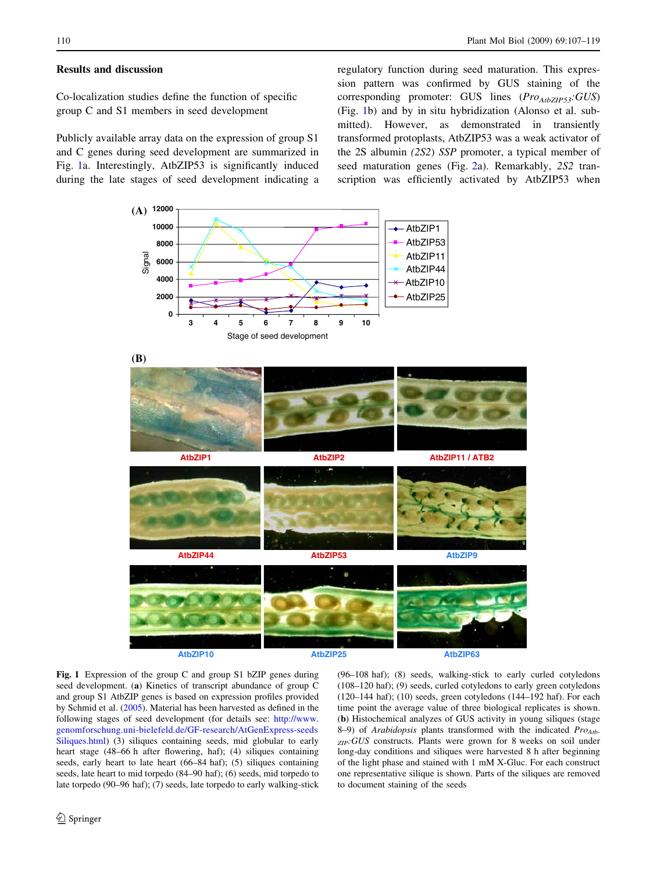## <span id="page-3-0"></span>Results and discussion

Co-localization studies define the function of specific group C and S1 members in seed development

Publicly available array data on the expression of group S1 and C genes during seed development are summarized in Fig. 1a. Interestingly, AtbZIP53 is significantly induced during the late stages of seed development indicating a regulatory function during seed maturation. This expression pattern was confirmed by GUS staining of the corresponding promoter: GUS lines  $(Pro_{AtbZIP53}:GUS)$ (Fig. 1b) and by in situ hybridization (Alonso et al. submitted). However, as demonstrated in transiently transformed protoplasts, AtbZIP53 was a weak activator of the 2S albumin (2S2) SSP promoter, a typical member of seed maturation genes (Fig. [2](#page-4-0)a). Remarkably, 2S2 transcription was efficiently activated by AtbZIP53 when



Fig. 1 Expression of the group C and group S1 bZIP genes during seed development. (a) Kinetics of transcript abundance of group C and group S1 AtbZIP genes is based on expression profiles provided by Schmid et al. [\(2005\)](#page-11-0). Material has been harvested as defined in the following stages of seed development (for details see: [http://www.](http://www.genomforschung.uni-bielefeld.de/GF-research/AtGenExpress-seedsSiliques.html) [genomforschung.uni-bielefeld.de/GF-research/AtGenExpress-seeds](http://www.genomforschung.uni-bielefeld.de/GF-research/AtGenExpress-seedsSiliques.html) [Siliques.html](http://www.genomforschung.uni-bielefeld.de/GF-research/AtGenExpress-seedsSiliques.html)) (3) siliques containing seeds, mid globular to early heart stage (48–66 h after flowering, haf); (4) siliques containing seeds, early heart to late heart (66–84 haf); (5) siliques containing seeds, late heart to mid torpedo (84–90 haf); (6) seeds, mid torpedo to late torpedo (90–96 haf); (7) seeds, late torpedo to early walking-stick (96–108 haf); (8) seeds, walking-stick to early curled cotyledons (108–120 haf); (9) seeds, curled cotyledons to early green cotyledons (120–144 haf); (10) seeds, green cotyledons (144–192 haf). For each time point the average value of three biological replicates is shown. (b) Histochemical analyzes of GUS activity in young siliques (stage 8–9) of Arabidopsis plants transformed with the indicated  $Pro_{Atb}$  $_{ZIP}$ :GUS constructs. Plants were grown for 8 weeks on soil under long-day conditions and siliques were harvested 8 h after beginning of the light phase and stained with 1 mM X-Gluc. For each construct one representative silique is shown. Parts of the siliques are removed to document staining of the seeds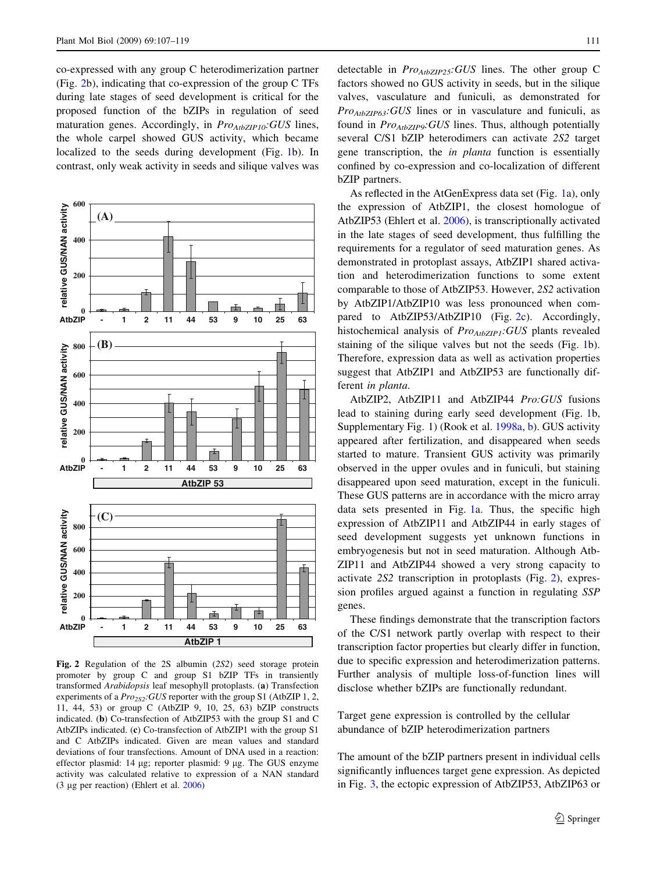<span id="page-4-0"></span>co-expressed with any group C heterodimerization partner (Fig. 2b), indicating that co-expression of the group C TFs during late stages of seed development is critical for the proposed function of the bZIPs in regulation of seed maturation genes. Accordingly, in  $Pro_{AtbZIP10}$ : GUS lines, the whole carpel showed GUS activity, which became localized to the seeds during development (Fig. [1b](#page-3-0)). In contrast, only weak activity in seeds and silique valves was



Fig. 2 Regulation of the 2S albumin (2S2) seed storage protein promoter by group C and group S1 bZIP TFs in transiently transformed Arabidopsis leaf mesophyll protoplasts. (a) Transfection experiments of a  $Pro_{2S2}$ : GUS reporter with the group S1 (AtbZIP 1, 2, 11, 44, 53) or group C (AtbZIP 9, 10, 25, 63) bZIP constructs indicated. (b) Co-transfection of AtbZIP53 with the group S1 and C AtbZIPs indicated. (c) Co-transfection of AtbZIP1 with the group S1 and C AtbZIPs indicated. Given are mean values and standard deviations of four transfections. Amount of DNA used in a reaction: effector plasmid: 14 µg; reporter plasmid: 9 µg. The GUS enzyme activity was calculated relative to expression of a NAN standard (3 lg per reaction) (Ehlert et al. [2006\)](#page-11-0)

detectable in  $Pro_{AtbZIP25}:GUS$  lines. The other group C factors showed no GUS activity in seeds, but in the silique valves, vasculature and funiculi, as demonstrated for  $Pro_{AtbZIP63}:GUS$  lines or in vasculature and funiculi, as found in Pro<sub>AtbZIP9</sub>: GUS lines. Thus, although potentially several C/S1 bZIP heterodimers can activate 2S2 target gene transcription, the in planta function is essentially confined by co-expression and co-localization of different bZIP partners.

As reflected in the AtGenExpress data set (Fig. [1a](#page-3-0)), only the expression of AtbZIP1, the closest homologue of AtbZIP53 (Ehlert et al. [2006](#page-11-0)), is transcriptionally activated in the late stages of seed development, thus fulfilling the requirements for a regulator of seed maturation genes. As demonstrated in protoplast assays, AtbZIP1 shared activation and heterodimerization functions to some extent comparable to those of AtbZIP53. However, 2S2 activation by AtbZIP1/AtbZIP10 was less pronounced when compared to AtbZIP53/AtbZIP10 (Fig. 2c). Accordingly, histochemical analysis of  $Pro_{AtbZIP1}:GUS$  plants revealed staining of the silique valves but not the seeds (Fig. [1](#page-3-0)b). Therefore, expression data as well as activation properties suggest that AtbZIP1 and AtbZIP53 are functionally different in planta.

AtbZIP2, AtbZIP11 and AtbZIP44 Pro:GUS fusions lead to staining during early seed development (Fig. [1b](#page-3-0), Supplementary Fig. 1) (Rook et al. [1998a,](#page-11-0) [b\)](#page-11-0). GUS activity appeared after fertilization, and disappeared when seeds started to mature. Transient GUS activity was primarily observed in the upper ovules and in funiculi, but staining disappeared upon seed maturation, except in the funiculi. These GUS patterns are in accordance with the micro array data sets presented in Fig. [1](#page-3-0)a. Thus, the specific high expression of AtbZIP11 and AtbZIP44 in early stages of seed development suggests yet unknown functions in embryogenesis but not in seed maturation. Although Atb-ZIP11 and AtbZIP44 showed a very strong capacity to activate 2S2 transcription in protoplasts (Fig. 2), expression profiles argued against a function in regulating SSP genes.

These findings demonstrate that the transcription factors of the C/S1 network partly overlap with respect to their transcription factor properties but clearly differ in function, due to specific expression and heterodimerization patterns. Further analysis of multiple loss-of-function lines will disclose whether bZIPs are functionally redundant.

Target gene expression is controlled by the cellular abundance of bZIP heterodimerization partners

The amount of the bZIP partners present in individual cells significantly influences target gene expression. As depicted in Fig. [3,](#page-5-0) the ectopic expression of AtbZIP53, AtbZIP63 or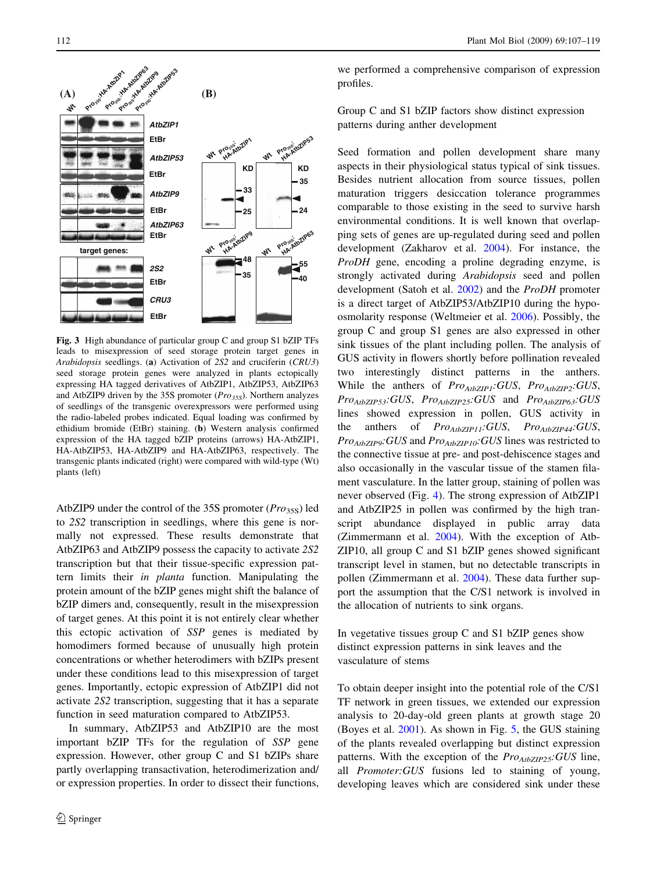<span id="page-5-0"></span>

Fig. 3 High abundance of particular group C and group S1 bZIP TFs leads to misexpression of seed storage protein target genes in Arabidopsis seedlings. (a) Activation of 2S2 and cruciferin (CRU3) seed storage protein genes were analyzed in plants ectopically expressing HA tagged derivatives of AtbZIP1, AtbZIP53, AtbZIP63 and AtbZIP9 driven by the 35S promoter ( $Pro<sub>35S</sub>$ ). Northern analyzes of seedlings of the transgenic overexpressors were performed using the radio-labeled probes indicated. Equal loading was confirmed by ethidium bromide (EtBr) staining. (b) Western analysis confirmed expression of the HA tagged bZIP proteins (arrows) HA-AtbZIP1, HA-AtbZIP53, HA-AtbZIP9 and HA-AtbZIP63, respectively. The transgenic plants indicated (right) were compared with wild-type (Wt) plants (left)

AtbZIP9 under the control of the 35S promoter  $(Pro<sub>35S</sub>)$  led to 2S2 transcription in seedlings, where this gene is normally not expressed. These results demonstrate that AtbZIP63 and AtbZIP9 possess the capacity to activate 2S2 transcription but that their tissue-specific expression pattern limits their in planta function. Manipulating the protein amount of the bZIP genes might shift the balance of bZIP dimers and, consequently, result in the misexpression of target genes. At this point it is not entirely clear whether this ectopic activation of SSP genes is mediated by homodimers formed because of unusually high protein concentrations or whether heterodimers with bZIPs present under these conditions lead to this misexpression of target genes. Importantly, ectopic expression of AtbZIP1 did not activate 2S2 transcription, suggesting that it has a separate function in seed maturation compared to AtbZIP53.

In summary, AtbZIP53 and AtbZIP10 are the most important bZIP TFs for the regulation of SSP gene expression. However, other group C and S1 bZIPs share partly overlapping transactivation, heterodimerization and/ or expression properties. In order to dissect their functions,

we performed a comprehensive comparison of expression profiles.

Group C and S1 bZIP factors show distinct expression patterns during anther development

Seed formation and pollen development share many aspects in their physiological status typical of sink tissues. Besides nutrient allocation from source tissues, pollen maturation triggers desiccation tolerance programmes comparable to those existing in the seed to survive harsh environmental conditions. It is well known that overlapping sets of genes are up-regulated during seed and pollen development (Zakharov et al. [2004](#page-12-0)). For instance, the ProDH gene, encoding a proline degrading enzyme, is strongly activated during Arabidopsis seed and pollen development (Satoh et al. [2002\)](#page-11-0) and the ProDH promoter is a direct target of AtbZIP53/AtbZIP10 during the hypoosmolarity response (Weltmeier et al. [2006](#page-12-0)). Possibly, the group C and group S1 genes are also expressed in other sink tissues of the plant including pollen. The analysis of GUS activity in flowers shortly before pollination revealed two interestingly distinct patterns in the anthers. While the anthers of  $Pro_{AtbZIP1}:GUS, Pro_{AtbZIP2}:GUS,$  $Pro_{AtbZIP53}:GUS, Pro_{AtbZIP25}:GUS$  and  $Pro_{AtbZIP63}:GUS$ lines showed expression in pollen, GUS activity in the anthers of  $Pro_{AtbZIP11}:GUS, Pro_{AtbZIP44}:GUS,$  $Pro_{AtbZIP9}:GUS$  and  $Pro_{AtbZIP10}:GUS$  lines was restricted to the connective tissue at pre- and post-dehiscence stages and also occasionally in the vascular tissue of the stamen filament vasculature. In the latter group, staining of pollen was never observed (Fig. [4\)](#page-6-0). The strong expression of AtbZIP1 and AtbZIP25 in pollen was confirmed by the high transcript abundance displayed in public array data (Zimmermann et al. [2004\)](#page-12-0). With the exception of Atb-ZIP10, all group C and S1 bZIP genes showed significant transcript level in stamen, but no detectable transcripts in pollen (Zimmermann et al. [2004\)](#page-12-0). These data further support the assumption that the C/S1 network is involved in the allocation of nutrients to sink organs.

In vegetative tissues group C and S1 bZIP genes show distinct expression patterns in sink leaves and the vasculature of stems

To obtain deeper insight into the potential role of the C/S1 TF network in green tissues, we extended our expression analysis to 20-day-old green plants at growth stage 20 (Boyes et al. [2001](#page-11-0)). As shown in Fig. [5](#page-7-0), the GUS staining of the plants revealed overlapping but distinct expression patterns. With the exception of the  $Pro_{AtbZIP25}:GUS$  line, all Promoter:GUS fusions led to staining of young, developing leaves which are considered sink under these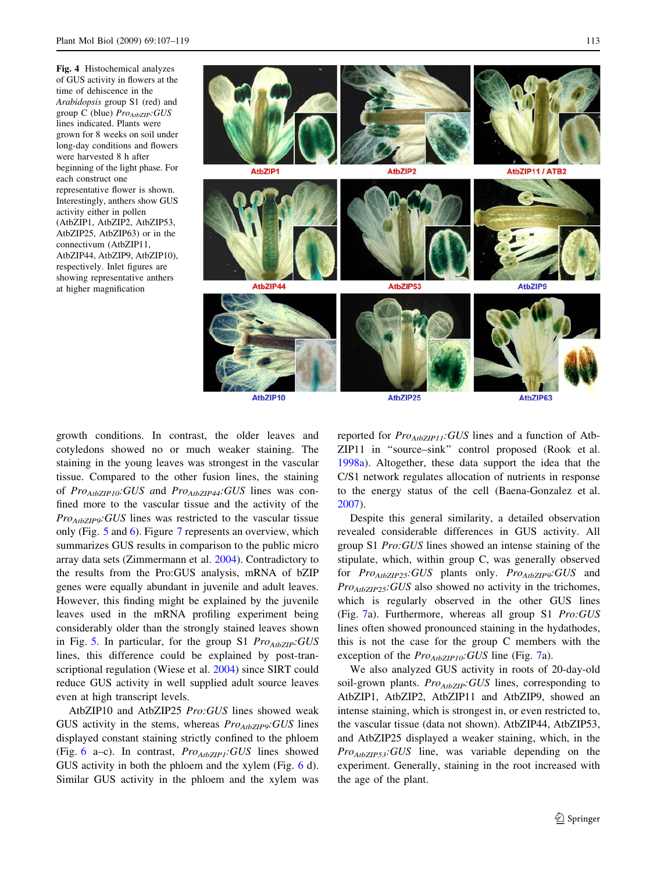<span id="page-6-0"></span>Fig. 4 Histochemical analyzes of GUS activity in flowers at the time of dehiscence in the Arabidopsis group S1 (red) and group C (blue)  $Pro_{AtbZIP}:GUS$ lines indicated. Plants were grown for 8 weeks on soil under long-day conditions and flowers were harvested 8 h after beginning of the light phase. For each construct one representative flower is shown. Interestingly, anthers show GUS activity either in pollen (AtbZIP1, AtbZIP2, AtbZIP53, AtbZIP25, AtbZIP63) or in the connectivum (AtbZIP11, AtbZIP44, AtbZIP9, AtbZIP10), respectively. Inlet figures are showing representative anthers at higher magnification



AtbZIP10

AtbZIP25

AtbZIP63

growth conditions. In contrast, the older leaves and cotyledons showed no or much weaker staining. The staining in the young leaves was strongest in the vascular tissue. Compared to the other fusion lines, the staining of  $Pro_{AtbZIP10}$ :GUS and  $Pro_{AtbZIP44}$ :GUS lines was confined more to the vascular tissue and the activity of the  $Pro_{AtbZIP9}$ : GUS lines was restricted to the vascular tissue only (Fig. [5](#page-7-0) and [6\)](#page-7-0). Figure [7](#page-8-0) represents an overview, which summarizes GUS results in comparison to the public micro array data sets (Zimmermann et al. [2004\)](#page-12-0). Contradictory to the results from the Pro:GUS analysis, mRNA of bZIP genes were equally abundant in juvenile and adult leaves. However, this finding might be explained by the juvenile leaves used in the mRNA profiling experiment being considerably older than the strongly stained leaves shown in Fig. [5.](#page-7-0) In particular, for the group S1  $Pro_{AtbZIP}:GUS$ lines, this difference could be explained by post-transcriptional regulation (Wiese et al. [2004](#page-12-0)) since SIRT could reduce GUS activity in well supplied adult source leaves even at high transcript levels.

AtbZIP10 and AtbZIP25 Pro:GUS lines showed weak GUS activity in the stems, whereas  $Pro_{AtbZIP9}:GUS$  lines displayed constant staining strictly confined to the phloem (Fig. [6](#page-7-0) a–c). In contrast,  $Pro_{AtbZIP1}:GUS$  lines showed GUS activity in both the phloem and the xylem (Fig. [6](#page-7-0) d). Similar GUS activity in the phloem and the xylem was reported for  $Pro_{AtbZIP11}$ : GUS lines and a function of Atb-ZIP11 in ''source–sink'' control proposed (Rook et al. [1998a\)](#page-11-0). Altogether, these data support the idea that the C/S1 network regulates allocation of nutrients in response to the energy status of the cell (Baena-Gonzalez et al. [2007](#page-11-0)).

Despite this general similarity, a detailed observation revealed considerable differences in GUS activity. All group S1 Pro:GUS lines showed an intense staining of the stipulate, which, within group C, was generally observed for  $Pro_{AtbZIP25}:GUS$  plants only.  $Pro_{AtbZIP9}:GUS$  and  $Pro_{AtbZIP25}:GUS$  also showed no activity in the trichomes, which is regularly observed in the other GUS lines (Fig. [7a](#page-8-0)). Furthermore, whereas all group S1 Pro:GUS lines often showed pronounced staining in the hydathodes, this is not the case for the group C members with the exception of the  $Pro_{AtbZIP10}$ : GUS line (Fig. [7a](#page-8-0)).

We also analyzed GUS activity in roots of 20-day-old soil-grown plants.  $Pro_{AtbZIP}:GUS$  lines, corresponding to AtbZIP1, AtbZIP2, AtbZIP11 and AtbZIP9, showed an intense staining, which is strongest in, or even restricted to, the vascular tissue (data not shown). AtbZIP44, AtbZIP53, and AtbZIP25 displayed a weaker staining, which, in the  $Pro_{AtbZIP53}:GUS$  line, was variable depending on the experiment. Generally, staining in the root increased with the age of the plant.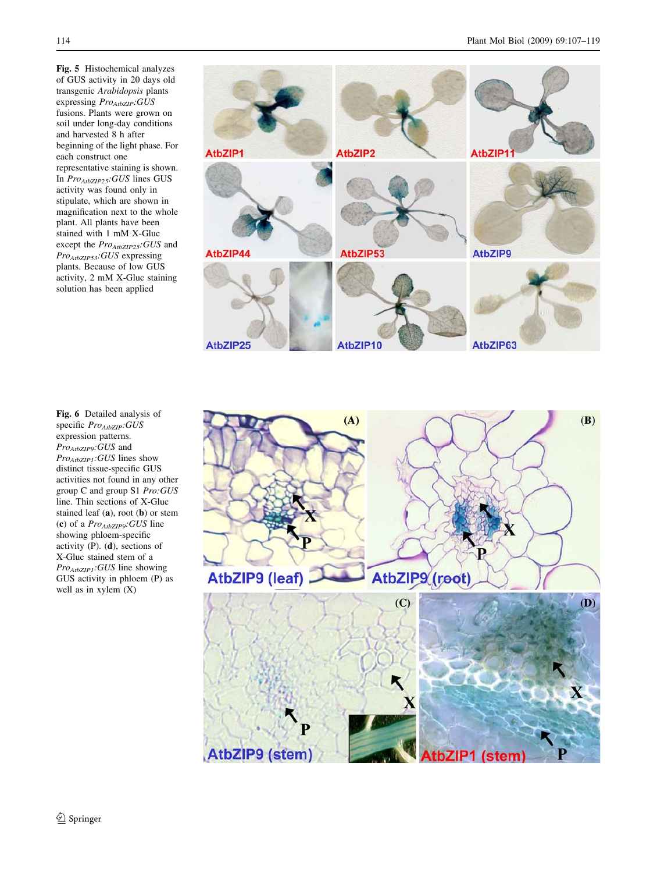<span id="page-7-0"></span>Fig. 5 Histochemical analyzes of GUS activity in 20 days old transgenic Arabidopsis plants expressing ProAtbZIP:GUS fusions. Plants were grown on soil under long-day conditions and harvested 8 h after beginning of the light phase. For each construct one representative staining is shown. In ProAtbZIP25: GUS lines GUS activity was found only in stipulate, which are shown in magnification next to the whole plant. All plants have been stained with 1 mM X-Gluc except the  $Pro_{AtbZIP25}:GUS$  and ProAtbZIP53: GUS expressing plants. Because of low GUS activity, 2 mM X-Gluc staining solution has been applied



Fig. 6 Detailed analysis of specific ProAtbZIP:GUS expression patterns.  $Pro_{AtbZIP9}:GUS$  and Pro<sub>AtbZIP1</sub>:GUS lines show distinct tissue-specific GUS activities not found in any other group C and group S1 Pro:GUS line. Thin sections of X-Gluc stained leaf (a), root (b) or stem (c) of a  $Pro_{AtbZIP9}:GUS$  line showing phloem-specific activity (P). (d), sections of X-Gluc stained stem of a Pro<sub>AtbZIP1</sub>:GUS line showing GUS activity in phloem (P) as well as in xylem (X)

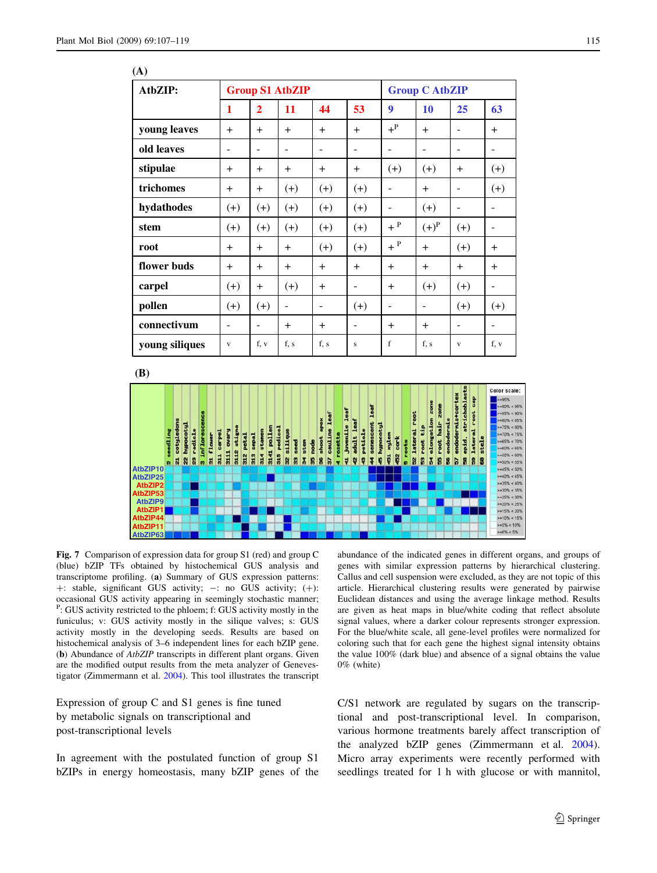<span id="page-8-0"></span>

| (A)            |                          |                          |        |          |       |                          |          |                          |                          |
|----------------|--------------------------|--------------------------|--------|----------|-------|--------------------------|----------|--------------------------|--------------------------|
| AtbZIP:        | <b>Group S1 AtbZIP</b>   |                          |        |          |       | <b>Group C AtbZIP</b>    |          |                          |                          |
|                | 1                        | $\overline{2}$           | 11     | 44       | 53    | 9                        | 10       | 25                       | 63                       |
| young leaves   | $+$                      | $+$                      | $+$    | $+$      | $+$   | $+^{\rm P}$              | $+$      | $\overline{\phantom{0}}$ | $+$                      |
| old leaves     | $\overline{a}$           | $\qquad \qquad -$        |        | ۰        | ۰     | $\overline{a}$           |          | $\overline{a}$           | ٠                        |
| stipulae       | $+$                      | $+$                      | $^{+}$ | $+$      | $\pm$ | $^{(+)}$                 | $^{(+)}$ | $\overline{+}$           | $(+)$                    |
| trichomes      | $+$                      | $+$                      | $(+)$  | $^{(+)}$ | $(+)$ | $\overline{a}$           | $+$      | $\overline{a}$           | $(+)$                    |
| hydathodes     | $^{(+)}$                 | $(+)$                    | $(+)$  | $(+)$    | $(+)$ | $\overline{a}$           | $(+)$    | $\overline{\phantom{a}}$ | $\overline{\phantom{0}}$ |
| stem           | $^{(+)}$                 | $(+)$                    | $(+)$  | $(+)$    | $(+)$ | $+$ P                    | $(+)^P$  | $(+)$                    | $\qquad \qquad -$        |
| root           | $+$                      | $+$                      | $+$    | $(+)$    | $(+)$ | $+$ P                    | $+$      | $(+)$                    | $+$                      |
| flower buds    | $+$                      | $+$                      | $+$    | $+$      | $+$   | $+$                      | $+$      | $+$                      | $+$                      |
| carpel         | $^{(+)}$                 | $+$                      | $(+)$  | $+$      | -     | $+$                      | $^{(+)}$ | $(+)$                    | $\overline{\phantom{0}}$ |
| pollen         | $(+)$                    | $(+)$                    | ۰      | -        | $(+)$ | $\overline{\phantom{0}}$ | ۰        | $(+)$                    | $(+)$                    |
| connectivum    | $\overline{\phantom{a}}$ | $\overline{\phantom{0}}$ | $+$    | $+$      | ۰     | $+$                      | $+$      | $\overline{\phantom{a}}$ | $\overline{\phantom{a}}$ |
| young siliques | $\mathbf{V}$             | f, v                     | f, s   | f, s     | S     | f                        | f, s     | $\mathbf{V}$             | f, v                     |

**(B)**



Fig. 7 Comparison of expression data for group S1 (red) and group C (blue) bZIP TFs obtained by histochemical GUS analysis and transcriptome profiling. (a) Summary of GUS expression patterns:  $+$ : stable, significant GUS activity;  $-$ : no GUS activity;  $(+)$ : occasional GUS activity appearing in seemingly stochastic manner; <sup>P</sup>: GUS activity restricted to the phloem; f: GUS activity mostly in the funiculus; v: GUS activity mostly in the silique valves; s: GUS activity mostly in the developing seeds. Results are based on histochemical analysis of 3–6 independent lines for each bZIP gene. (b) Abundance of AtbZIP transcripts in different plant organs. Given are the modified output results from the meta analyzer of Genevestigator (Zimmermann et al. [2004](#page-12-0)). This tool illustrates the transcript

Expression of group C and S1 genes is fine tuned by metabolic signals on transcriptional and post-transcriptional levels

In agreement with the postulated function of group S1 bZIPs in energy homeostasis, many bZIP genes of the abundance of the indicated genes in different organs, and groups of genes with similar expression patterns by hierarchical clustering. Callus and cell suspension were excluded, as they are not topic of this article. Hierarchical clustering results were generated by pairwise Euclidean distances and using the average linkage method. Results are given as heat maps in blue/white coding that reflect absolute signal values, where a darker colour represents stronger expression. For the blue/white scale, all gene-level profiles were normalized for coloring such that for each gene the highest signal intensity obtains the value 100% (dark blue) and absence of a signal obtains the value 0% (white)

C/S1 network are regulated by sugars on the transcriptional and post-transcriptional level. In comparison, various hormone treatments barely affect transcription of the analyzed bZIP genes (Zimmermann et al. [2004](#page-12-0)). Micro array experiments were recently performed with seedlings treated for 1 h with glucose or with mannitol,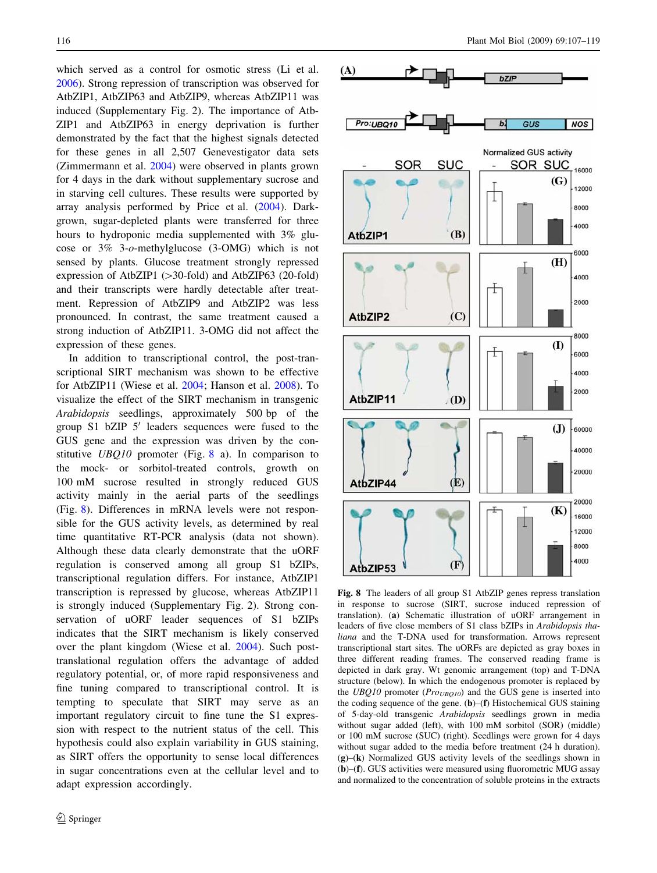which served as a control for osmotic stress (Li et al. [2006\)](#page-11-0). Strong repression of transcription was observed for AtbZIP1, AtbZIP63 and AtbZIP9, whereas AtbZIP11 was induced (Supplementary Fig. 2). The importance of Atb-ZIP1 and AtbZIP63 in energy deprivation is further demonstrated by the fact that the highest signals detected for these genes in all 2,507 Genevestigator data sets (Zimmermann et al. [2004](#page-12-0)) were observed in plants grown for 4 days in the dark without supplementary sucrose and in starving cell cultures. These results were supported by array analysis performed by Price et al. [\(2004](#page-11-0)). Darkgrown, sugar-depleted plants were transferred for three hours to hydroponic media supplemented with 3% glucose or 3% 3-o-methylglucose (3-OMG) which is not sensed by plants. Glucose treatment strongly repressed expression of AtbZIP1 (> 30-fold) and AtbZIP63 (20-fold) and their transcripts were hardly detectable after treatment. Repression of AtbZIP9 and AtbZIP2 was less pronounced. In contrast, the same treatment caused a strong induction of AtbZIP11. 3-OMG did not affect the expression of these genes.

In addition to transcriptional control, the post-transcriptional SIRT mechanism was shown to be effective for AtbZIP11 (Wiese et al. [2004;](#page-12-0) Hanson et al. [2008\)](#page-11-0). To visualize the effect of the SIRT mechanism in transgenic Arabidopsis seedlings, approximately 500 bp of the group  $S1$  bZIP  $5'$  leaders sequences were fused to the GUS gene and the expression was driven by the constitutive  $UBQ10$  promoter (Fig. 8 a). In comparison to the mock- or sorbitol-treated controls, growth on 100 mM sucrose resulted in strongly reduced GUS activity mainly in the aerial parts of the seedlings (Fig. 8). Differences in mRNA levels were not responsible for the GUS activity levels, as determined by real time quantitative RT-PCR analysis (data not shown). Although these data clearly demonstrate that the uORF regulation is conserved among all group S1 bZIPs, transcriptional regulation differs. For instance, AtbZIP1 transcription is repressed by glucose, whereas AtbZIP11 is strongly induced (Supplementary Fig. 2). Strong conservation of uORF leader sequences of S1 bZIPs indicates that the SIRT mechanism is likely conserved over the plant kingdom (Wiese et al. [2004\)](#page-12-0). Such posttranslational regulation offers the advantage of added regulatory potential, or, of more rapid responsiveness and fine tuning compared to transcriptional control. It is tempting to speculate that SIRT may serve as an important regulatory circuit to fine tune the S1 expression with respect to the nutrient status of the cell. This hypothesis could also explain variability in GUS staining, as SIRT offers the opportunity to sense local differences in sugar concentrations even at the cellular level and to adapt expression accordingly.



Fig. 8 The leaders of all group S1 AtbZIP genes repress translation in response to sucrose (SIRT, sucrose induced repression of translation). (a) Schematic illustration of uORF arrangement in leaders of five close members of S1 class bZIPs in Arabidopsis thaliana and the T-DNA used for transformation. Arrows represent transcriptional start sites. The uORFs are depicted as gray boxes in three different reading frames. The conserved reading frame is depicted in dark gray. Wt genomic arrangement (top) and T-DNA structure (below). In which the endogenous promoter is replaced by the  $UBQ10$  promoter ( $Pro<sub>UBO10</sub>$ ) and the GUS gene is inserted into the coding sequence of the gene.  $(b)$ – $(f)$  Histochemical GUS staining of 5-day-old transgenic Arabidopsis seedlings grown in media without sugar added (left), with 100 mM sorbitol (SOR) (middle) or 100 mM sucrose (SUC) (right). Seedlings were grown for 4 days without sugar added to the media before treatment (24 h duration). (g)–(k) Normalized GUS activity levels of the seedlings shown in (b)–(f). GUS activities were measured using fluorometric MUG assay and normalized to the concentration of soluble proteins in the extracts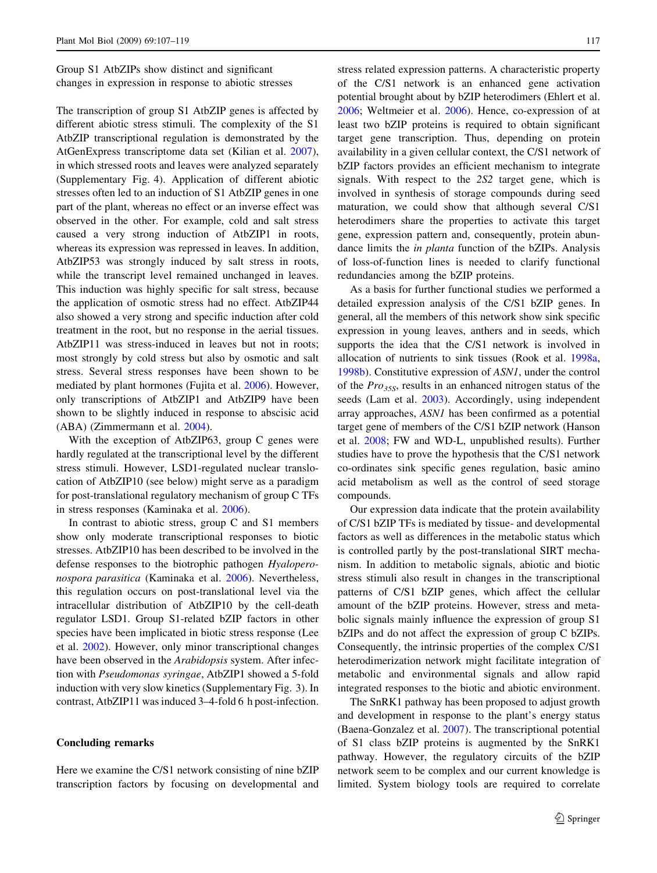Group S1 AtbZIPs show distinct and significant changes in expression in response to abiotic stresses

The transcription of group S1 AtbZIP genes is affected by different abiotic stress stimuli. The complexity of the S1 AtbZIP transcriptional regulation is demonstrated by the AtGenExpress transcriptome data set (Kilian et al. [2007](#page-11-0)), in which stressed roots and leaves were analyzed separately (Supplementary Fig. 4). Application of different abiotic stresses often led to an induction of S1 AtbZIP genes in one part of the plant, whereas no effect or an inverse effect was observed in the other. For example, cold and salt stress caused a very strong induction of AtbZIP1 in roots, whereas its expression was repressed in leaves. In addition, AtbZIP53 was strongly induced by salt stress in roots, while the transcript level remained unchanged in leaves. This induction was highly specific for salt stress, because the application of osmotic stress had no effect. AtbZIP44 also showed a very strong and specific induction after cold treatment in the root, but no response in the aerial tissues. AtbZIP11 was stress-induced in leaves but not in roots; most strongly by cold stress but also by osmotic and salt stress. Several stress responses have been shown to be mediated by plant hormones (Fujita et al. [2006](#page-11-0)). However, only transcriptions of AtbZIP1 and AtbZIP9 have been shown to be slightly induced in response to abscisic acid (ABA) (Zimmermann et al. [2004\)](#page-12-0).

With the exception of AtbZIP63, group C genes were hardly regulated at the transcriptional level by the different stress stimuli. However, LSD1-regulated nuclear translocation of AtbZIP10 (see below) might serve as a paradigm for post-translational regulatory mechanism of group C TFs in stress responses (Kaminaka et al. [2006](#page-11-0)).

In contrast to abiotic stress, group C and S1 members show only moderate transcriptional responses to biotic stresses. AtbZIP10 has been described to be involved in the defense responses to the biotrophic pathogen Hyaloperonospora parasitica (Kaminaka et al. [2006\)](#page-11-0). Nevertheless, this regulation occurs on post-translational level via the intracellular distribution of AtbZIP10 by the cell-death regulator LSD1. Group S1-related bZIP factors in other species have been implicated in biotic stress response (Lee et al. [2002\)](#page-11-0). However, only minor transcriptional changes have been observed in the Arabidopsis system. After infection with Pseudomonas syringae, AtbZIP1 showed a 5-fold induction with very slow kinetics (Supplementary Fig. 3). In contrast, AtbZIP11 was induced 3–4-fold 6 h post-infection.

## Concluding remarks

Here we examine the C/S1 network consisting of nine bZIP transcription factors by focusing on developmental and stress related expression patterns. A characteristic property of the C/S1 network is an enhanced gene activation potential brought about by bZIP heterodimers (Ehlert et al. [2006](#page-11-0); Weltmeier et al. [2006](#page-12-0)). Hence, co-expression of at least two bZIP proteins is required to obtain significant target gene transcription. Thus, depending on protein availability in a given cellular context, the C/S1 network of bZIP factors provides an efficient mechanism to integrate signals. With respect to the 2S2 target gene, which is involved in synthesis of storage compounds during seed maturation, we could show that although several C/S1 heterodimers share the properties to activate this target gene, expression pattern and, consequently, protein abundance limits the in planta function of the bZIPs. Analysis of loss-of-function lines is needed to clarify functional redundancies among the bZIP proteins.

As a basis for further functional studies we performed a detailed expression analysis of the C/S1 bZIP genes. In general, all the members of this network show sink specific expression in young leaves, anthers and in seeds, which supports the idea that the C/S1 network is involved in allocation of nutrients to sink tissues (Rook et al. [1998a,](#page-11-0) [1998b](#page-11-0)). Constitutive expression of ASN1, under the control of the  $Pro_{35S}$ , results in an enhanced nitrogen status of the seeds (Lam et al. [2003\)](#page-11-0). Accordingly, using independent array approaches, ASN1 has been confirmed as a potential target gene of members of the C/S1 bZIP network (Hanson et al. [2008](#page-11-0); FW and WD-L, unpublished results). Further studies have to prove the hypothesis that the C/S1 network co-ordinates sink specific genes regulation, basic amino acid metabolism as well as the control of seed storage compounds.

Our expression data indicate that the protein availability of C/S1 bZIP TFs is mediated by tissue- and developmental factors as well as differences in the metabolic status which is controlled partly by the post-translational SIRT mechanism. In addition to metabolic signals, abiotic and biotic stress stimuli also result in changes in the transcriptional patterns of C/S1 bZIP genes, which affect the cellular amount of the bZIP proteins. However, stress and metabolic signals mainly influence the expression of group S1 bZIPs and do not affect the expression of group C bZIPs. Consequently, the intrinsic properties of the complex C/S1 heterodimerization network might facilitate integration of metabolic and environmental signals and allow rapid integrated responses to the biotic and abiotic environment.

The SnRK1 pathway has been proposed to adjust growth and development in response to the plant's energy status (Baena-Gonzalez et al. [2007\)](#page-11-0). The transcriptional potential of S1 class bZIP proteins is augmented by the SnRK1 pathway. However, the regulatory circuits of the bZIP network seem to be complex and our current knowledge is limited. System biology tools are required to correlate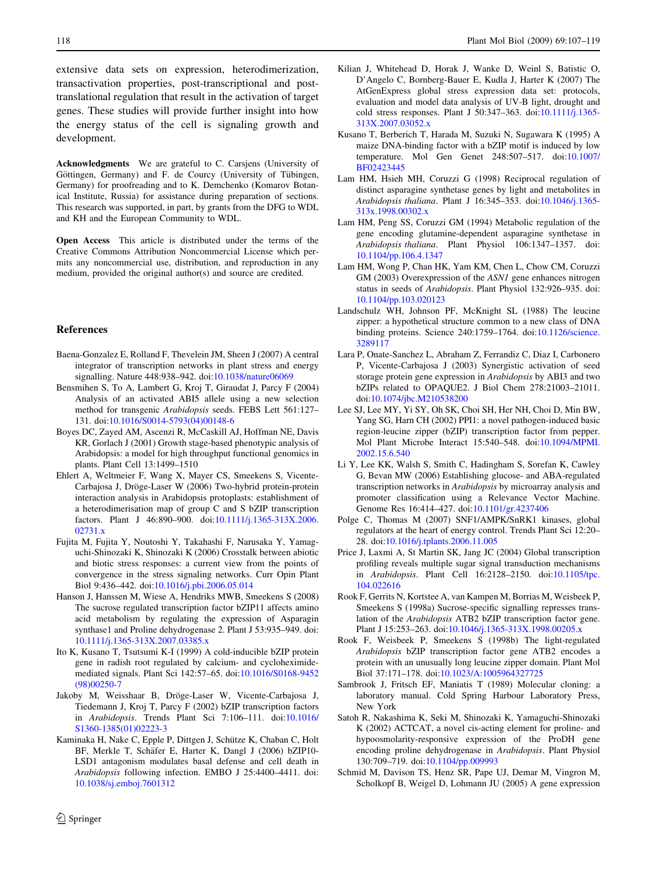<span id="page-11-0"></span>extensive data sets on expression, heterodimerization, transactivation properties, post-transcriptional and posttranslational regulation that result in the activation of target genes. These studies will provide further insight into how the energy status of the cell is signaling growth and development.

Acknowledgments We are grateful to C. Carsjens (University of Göttingen, Germany) and F. de Courcy (University of Tübingen, Germany) for proofreading and to K. Demchenko (Komarov Botanical Institute, Russia) for assistance during preparation of sections. This research was supported, in part, by grants from the DFG to WDL and KH and the European Community to WDL.

Open Access This article is distributed under the terms of the Creative Commons Attribution Noncommercial License which permits any noncommercial use, distribution, and reproduction in any medium, provided the original author(s) and source are credited.

### References

- Baena-Gonzalez E, Rolland F, Thevelein JM, Sheen J (2007) A central integrator of transcription networks in plant stress and energy signalling. Nature 448:938–942. doi:[10.1038/nature06069](http://dx.doi.org/10.1038/nature06069)
- Bensmihen S, To A, Lambert G, Kroj T, Giraudat J, Parcy F (2004) Analysis of an activated ABI5 allele using a new selection method for transgenic Arabidopsis seeds. FEBS Lett 561:127– 131. doi:[10.1016/S0014-5793\(04\)00148-6](http://dx.doi.org/10.1016/S0014-5793(04)00148-6)
- Boyes DC, Zayed AM, Ascenzi R, McCaskill AJ, Hoffman NE, Davis KR, Gorlach J (2001) Growth stage-based phenotypic analysis of Arabidopsis: a model for high throughput functional genomics in plants. Plant Cell 13:1499–1510
- Ehlert A, Weltmeier F, Wang X, Mayer CS, Smeekens S, Vicente-Carbajosa J, Dröge-Laser W (2006) Two-hybrid protein-protein interaction analysis in Arabidopsis protoplasts: establishment of a heterodimerisation map of group C and S bZIP transcription factors. Plant J 46:890–900. doi:[10.1111/j.1365-313X.2006.](http://dx.doi.org/10.1111/j.1365-313X.2006.02731.x) [02731.x](http://dx.doi.org/10.1111/j.1365-313X.2006.02731.x)
- Fujita M, Fujita Y, Noutoshi Y, Takahashi F, Narusaka Y, Yamaguchi-Shinozaki K, Shinozaki K (2006) Crosstalk between abiotic and biotic stress responses: a current view from the points of convergence in the stress signaling networks. Curr Opin Plant Biol 9:436–442. doi:[10.1016/j.pbi.2006.05.014](http://dx.doi.org/10.1016/j.pbi.2006.05.014)
- Hanson J, Hanssen M, Wiese A, Hendriks MWB, Smeekens S (2008) The sucrose regulated transcription factor bZIP11 affects amino acid metabolism by regulating the expression of Asparagin synthase1 and Proline dehydrogenase 2. Plant J 53:935–949. doi: [10.1111/j.1365-313X.2007.03385.x](http://dx.doi.org/10.1111/j.1365-313X.2007.03385.x)
- Ito K, Kusano T, Tsutsumi K-I (1999) A cold-inducible bZIP protein gene in radish root regulated by calcium- and cycloheximidemediated signals. Plant Sci 142:57–65. doi:[10.1016/S0168-9452](http://dx.doi.org/10.1016/S0168-9452(98)00250-7) [\(98\)00250-7](http://dx.doi.org/10.1016/S0168-9452(98)00250-7)
- Jakoby M, Weisshaar B, Dröge-Laser W, Vicente-Carbajosa J, Tiedemann J, Kroj T, Parcy F (2002) bZIP transcription factors in Arabidopsis. Trends Plant Sci 7:106–111. doi[:10.1016/](http://dx.doi.org/10.1016/S1360-1385(01)02223-3) [S1360-1385\(01\)02223-3](http://dx.doi.org/10.1016/S1360-1385(01)02223-3)
- Kaminaka H, Nake C, Epple P, Dittgen J, Schütze K, Chaban C, Holt BF, Merkle T, Schäfer E, Harter K, Dangl J (2006) bZIP10-LSD1 antagonism modulates basal defense and cell death in Arabidopsis following infection. EMBO J 25:4400–4411. doi: [10.1038/sj.emboj.7601312](http://dx.doi.org/10.1038/sj.emboj.7601312)
- Kilian J, Whitehead D, Horak J, Wanke D, Weinl S, Batistic O, D'Angelo C, Bornberg-Bauer E, Kudla J, Harter K (2007) The AtGenExpress global stress expression data set: protocols, evaluation and model data analysis of UV-B light, drought and cold stress responses. Plant J 50:347–363. doi[:10.1111/j.1365-](http://dx.doi.org/10.1111/j.1365-313X.2007.03052.x) [313X.2007.03052.x](http://dx.doi.org/10.1111/j.1365-313X.2007.03052.x)
- Kusano T, Berberich T, Harada M, Suzuki N, Sugawara K (1995) A maize DNA-binding factor with a bZIP motif is induced by low temperature. Mol Gen Genet 248:507–517. doi[:10.1007/](http://dx.doi.org/10.1007/BF02423445) [BF02423445](http://dx.doi.org/10.1007/BF02423445)
- Lam HM, Hsieh MH, Coruzzi G (1998) Reciprocal regulation of distinct asparagine synthetase genes by light and metabolites in Arabidopsis thaliana. Plant J 16:345–353. doi[:10.1046/j.1365-](http://dx.doi.org/10.1046/j.1365-313x.1998.00302.x) [313x.1998.00302.x](http://dx.doi.org/10.1046/j.1365-313x.1998.00302.x)
- Lam HM, Peng SS, Coruzzi GM (1994) Metabolic regulation of the gene encoding glutamine-dependent asparagine synthetase in Arabidopsis thaliana. Plant Physiol 106:1347–1357. doi: [10.1104/pp.106.4.1347](http://dx.doi.org/10.1104/pp.106.4.1347)
- Lam HM, Wong P, Chan HK, Yam KM, Chen L, Chow CM, Coruzzi GM (2003) Overexpression of the ASN1 gene enhances nitrogen status in seeds of Arabidopsis. Plant Physiol 132:926–935. doi: [10.1104/pp.103.020123](http://dx.doi.org/10.1104/pp.103.020123)
- Landschulz WH, Johnson PF, McKnight SL (1988) The leucine zipper: a hypothetical structure common to a new class of DNA binding proteins. Science 240:1759–1764. doi[:10.1126/science.](http://dx.doi.org/10.1126/science.3289117) [3289117](http://dx.doi.org/10.1126/science.3289117)
- Lara P, Onate-Sanchez L, Abraham Z, Ferrandiz C, Diaz I, Carbonero P, Vicente-Carbajosa J (2003) Synergistic activation of seed storage protein gene expression in Arabidopsis by ABI3 and two bZIPs related to OPAQUE2. J Biol Chem 278:21003–21011. doi[:10.1074/jbc.M210538200](http://dx.doi.org/10.1074/jbc.M210538200)
- Lee SJ, Lee MY, Yi SY, Oh SK, Choi SH, Her NH, Choi D, Min BW, Yang SG, Harn CH (2002) PPI1: a novel pathogen-induced basic region-leucine zipper (bZIP) transcription factor from pepper. Mol Plant Microbe Interact 15:540–548. doi:[10.1094/MPMI.](http://dx.doi.org/10.1094/MPMI.2002.15.6.540) [2002.15.6.540](http://dx.doi.org/10.1094/MPMI.2002.15.6.540)
- Li Y, Lee KK, Walsh S, Smith C, Hadingham S, Sorefan K, Cawley G, Bevan MW (2006) Establishing glucose- and ABA-regulated transcription networks in Arabidopsis by microarray analysis and promoter classification using a Relevance Vector Machine. Genome Res 16:414–427. doi:[10.1101/gr.4237406](http://dx.doi.org/10.1101/gr.4237406)
- Polge C, Thomas M (2007) SNF1/AMPK/SnRK1 kinases, global regulators at the heart of energy control. Trends Plant Sci 12:20– 28. doi:[10.1016/j.tplants.2006.11.005](http://dx.doi.org/10.1016/j.tplants.2006.11.005)
- Price J, Laxmi A, St Martin SK, Jang JC (2004) Global transcription profiling reveals multiple sugar signal transduction mechanisms in Arabidopsis. Plant Cell 16:2128–2150. doi:[10.1105/tpc.](http://dx.doi.org/10.1105/tpc.104.022616) [104.022616](http://dx.doi.org/10.1105/tpc.104.022616)
- Rook F, Gerrits N, Kortstee A, van Kampen M, Borrias M, Weisbeek P, Smeekens S (1998a) Sucrose-specific signalling represses translation of the Arabidopsis ATB2 bZIP transcription factor gene. Plant J 15:253–263. doi:[10.1046/j.1365-313X.1998.00205.x](http://dx.doi.org/10.1046/j.1365-313X.1998.00205.x)
- Rook F, Weisbeek P, Smeekens S (1998b) The light-regulated Arabidopsis bZIP transcription factor gene ATB2 encodes a protein with an unusually long leucine zipper domain. Plant Mol Biol 37:171–178. doi[:10.1023/A:1005964327725](http://dx.doi.org/10.1023/A:1005964327725)
- Sambrook J, Fritsch EF, Maniatis T (1989) Molecular cloning: a laboratory manual. Cold Spring Harbour Laboratory Press, New York
- Satoh R, Nakashima K, Seki M, Shinozaki K, Yamaguchi-Shinozaki K (2002) ACTCAT, a novel cis-acting element for proline- and hypoosmolarity-responsive expression of the ProDH gene encoding proline dehydrogenase in Arabidopsis. Plant Physiol 130:709–719. doi[:10.1104/pp.009993](http://dx.doi.org/10.1104/pp.009993)
- Schmid M, Davison TS, Henz SR, Pape UJ, Demar M, Vingron M, Scholkopf B, Weigel D, Lohmann JU (2005) A gene expression